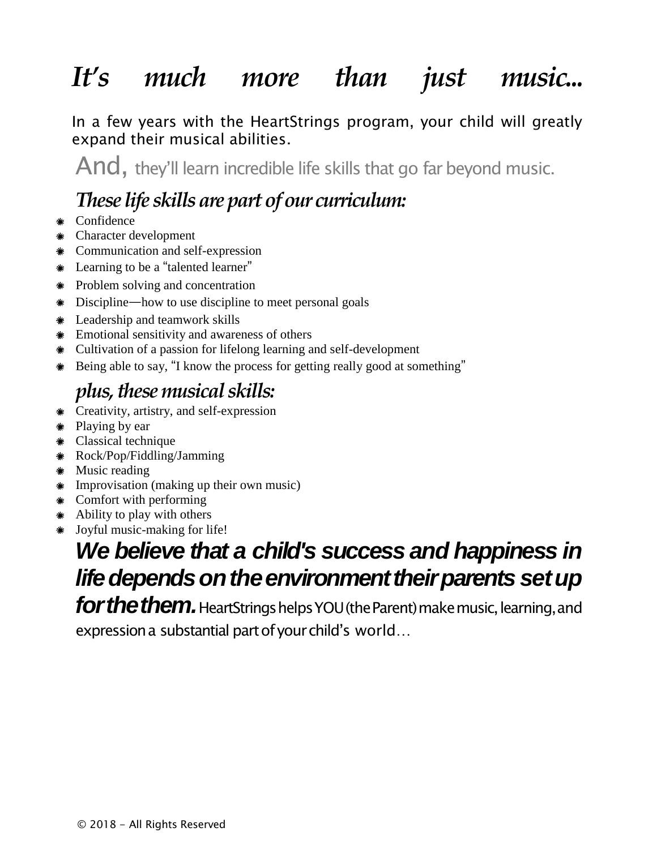# *It's much more than just music...*

In a few years with the HeartStrings program, your child will greatly expand their musical abilities.

And, they'll learn incredible life skills that go far beyond music.

# *These life skills are part of our curriculum:*

- Confidence
- Character development
- Communication and self-expression
- Learning to be a "talented learner"
- Problem solving and concentration
- Discipline—how to use discipline to meet personal goals
- Leadership and teamwork skills
- Emotional sensitivity and awareness of others
- Cultivation of a passion for lifelong learning and self-development
- Being able to say, "I know the process for getting really good at something"

# *plus, these musical skills:*

- Creativity, artistry, and self-expression
- Playing by ear
- Classical technique
- Rock/Pop/Fiddling/Jamming
- \* Music reading
- Improvisation (making up their own music)
- Comfort with performing
- Ability to play with others
- Joyful music-making for life!

# *We believe that a child's success and happiness in* **life depends on the environment their parents set up**

*forthethem.*HeartStringshelpsYOU(theParent)makemusic, learning,and expression a substantial part of your child's world...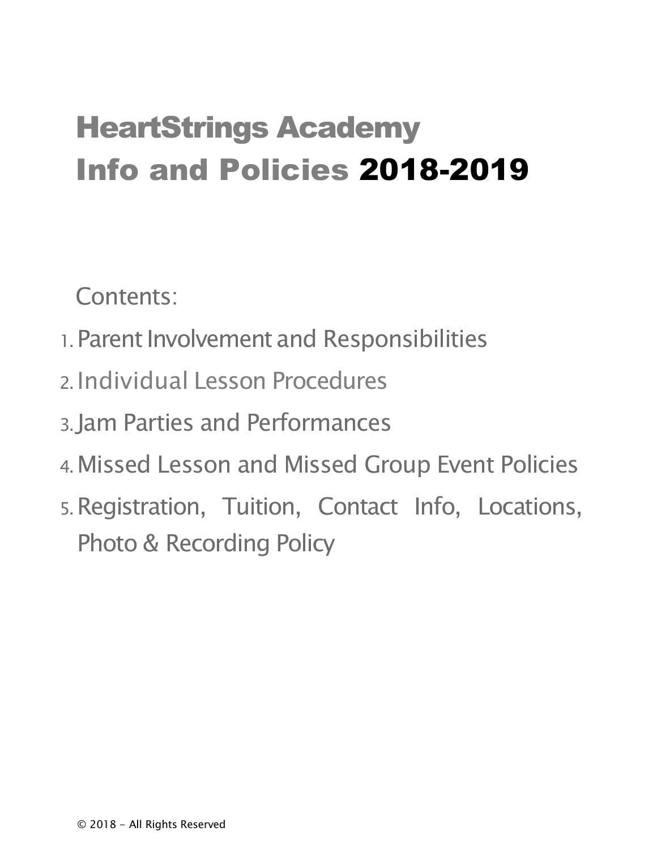# HeartStrings Academy Info and Policies 2018-2019

Contents:

- 1. Parent Involvement and Responsibilities
- 2. Individual Lesson Procedures
- 3. Jam Parties and Performances
- 4.Missed Lesson and Missed Group Event Policies
- 5.Registration, Tuition, Contact Info, Locations, Photo & Recording Policy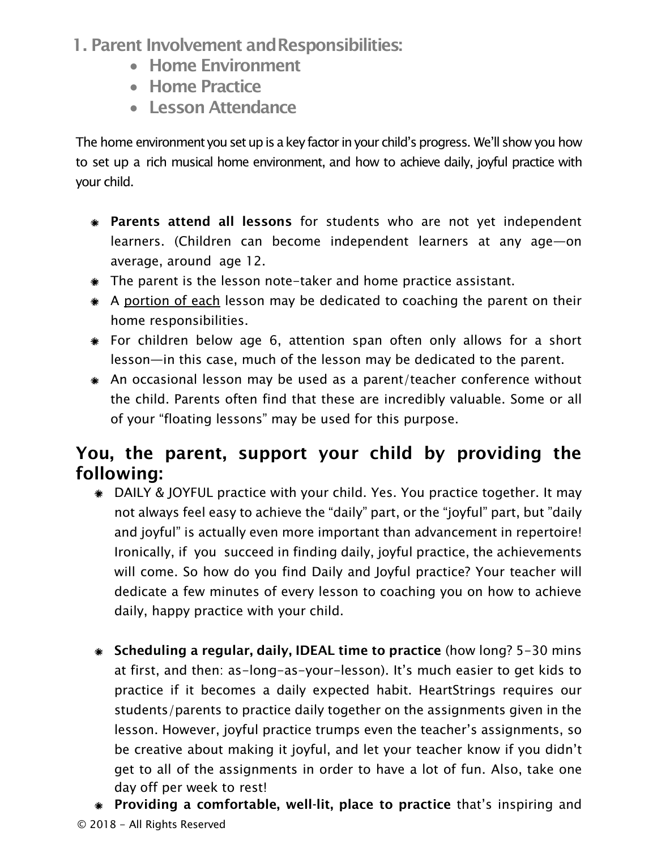- 1. Parent Involvement andResponsibilities:
	- Home Environment
	- Home Practice
	- Lesson Attendance

The home environment you set up is a key factor in your child's progress. We'll show you how to set up a rich musical home environment, and how to achieve daily, joyful practice with your child.

- \* Parents attend all lessons for students who are not yet independent learners. (Children can become independent learners at any age—on average, around age 12.
- The parent is the lesson note-taker and home practice assistant.
- A portion of each lesson may be dedicated to coaching the parent on their home responsibilities.
- For children below age 6, attention span often only allows for a short lesson—in this case, much of the lesson may be dedicated to the parent.
- An occasional lesson may be used as a parent/teacher conference without the child. Parents often find that these are incredibly valuable. Some or all of your "floating lessons" may be used for this purpose.

#### You, the parent, support your child by providing the following:

- DAILY & JOYFUL practice with your child. Yes. You practice together. It may not always feel easy to achieve the "daily" part, or the "joyful" part, but "daily and joyful" is actually even more important than advancement in repertoire! Ironically, if you succeed in finding daily, joyful practice, the achievements will come. So how do you find Daily and Joyful practice? Your teacher will dedicate a few minutes of every lesson to coaching you on how to achieve daily, happy practice with your child.
- Scheduling a regular, daily, IDEAL time to practice (how long? 5-30 mins at first, and then: as-long-as-your-lesson). It's much easier to get kids to practice if it becomes a daily expected habit. HeartStrings requires our students/parents to practice daily together on the assignments given in the lesson. However, joyful practice trumps even the teacher's assignments, so be creative about making it joyful, and let your teacher know if you didn't get to all of the assignments in order to have a lot of fun. Also, take one day off per week to rest!
- © 2018 All Rights Reserved Providing a comfortable, well-lit, place to practice that's inspiring and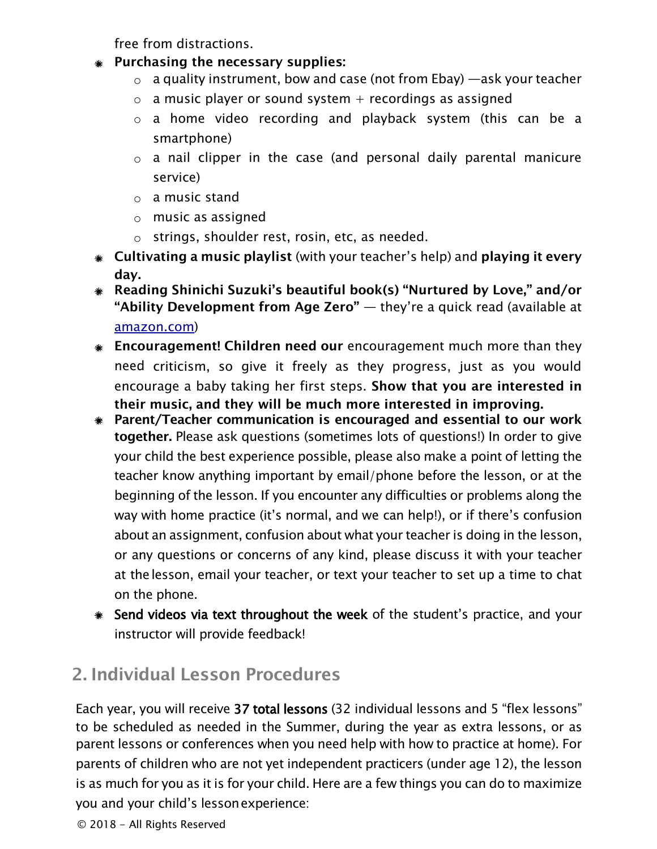free from distractions.

- Purchasing the necessary supplies:
	- $\circ$  a quality instrument, bow and case (not from Ebay) —ask your teacher
	- $\circ$  a music player or sound system + recordings as assigned
	- o a home video recording and playback system (this can be a smartphone)
	- $\circ$  a nail clipper in the case (and personal daily parental manicure service)
	- $\circ$  a music stand
	- $\circ$  music as assigned
	- $\circ$  strings, shoulder rest, rosin, etc, as needed.
- Cultivating a music playlist (with your teacher's help) and playing it every day.
- Reading Shinichi Suzuki's beautiful book(s) "Nurtured by Love," and/or "Ability Development from Age Zero"  $-$  they're a quick read (available at amazon.com)
- **Encouragement! Children need our** encouragement much more than they need criticism, so give it freely as they progress, just as you would encourage a baby taking her first steps. Show that you are interested in their music, and they will be much more interested in improving.
- Parent/Teacher communication is encouraged and essential to our work together. Please ask questions (sometimes lots of questions!) In order to give your child the best experience possible, please also make a point of letting the teacher know anything important by email/phone before the lesson, or at the beginning of the lesson. If you encounter any difficulties or problems along the way with home practice (it's normal, and we can help!), or if there's confusion about an assignment, confusion about what your teacher is doing in the lesson, or any questions or concerns of any kind, please discuss it with your teacher at thelesson, email your teacher, or text your teacher to set up a time to chat on the phone.
- Send videos via text throughout the week of the student's practice, and your instructor will provide feedback!

# 2. Individual Lesson Procedures

Each year, you will receive 37 total lessons (32 individual lessons and 5 "flex lessons" to be scheduled as needed in the Summer, during the year as extra lessons, or as parent lessons or conferences when you need help with how to practice at home). For parents of children who are not yet independent practicers (under age 12), the lesson is as much for you as it is for your child. Here are a few things you can do to maximize you and your child's lessonexperience: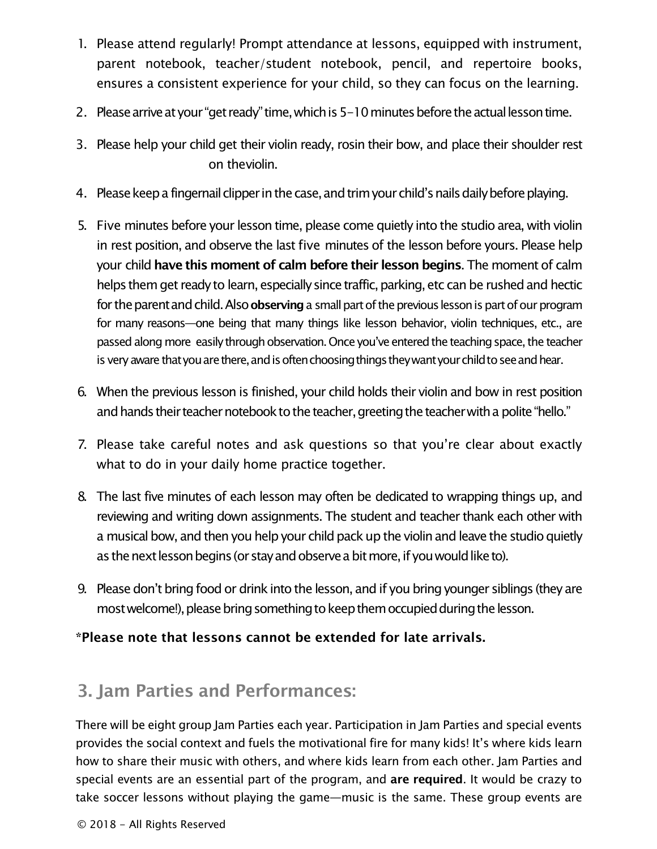- 1. Please attend regularly! Prompt attendance at lessons, equipped with instrument, parent notebook, teacher/student notebook, pencil, and repertoire books, ensures a consistent experience for your child, so they can focus on the learning.
- 2. Please arrive at your "get ready" time, which is 5-10 minutes before the actual lesson time.
- 3. Please help your child get their violin ready, rosin their bow, and place their shoulder rest on theviolin.
- 4. Please keep a fingernail clipper in the case, and trim your child's nails daily before playing.
- 5. Five minutes before your lesson time, please come quietly into the studio area, with violin in rest position, and observe the last five minutes of the lesson before yours. Please help your child have this moment of calm before their lesson begins. The moment of calm helps them get ready to learn, especially since traffic, parking, etc can be rushed and hectic for the parent and child. Also observing a small part of the previous lesson is part of our program for many reasons—one being that many things like lesson behavior, violin techniques, etc., are passed along more easily through observation. Once you've entered the teaching space, the teacher is very aware that you are there, and is often choosing things they want your child to see and hear.
- 6. When the previous lesson is finished, your child holds their violin and bow in rest position and hands their teacher notebook to the teacher, greeting the teacher with a polite "hello."
- 7. Please take careful notes and ask questions so that you're clear about exactly what to do in your daily home practice together.
- 8. The last five minutes of each lesson may often be dedicated to wrapping things up, and reviewing and writing down assignments. The student and teacher thank each other with a musical bow, and then you help your child pack up the violin and leave the studio quietly as the next lesson begins (or stay and observe a bit more, if you would like to).
- 9. Please don't bring food or drink into the lesson, and if you bring younger siblings (they are most welcome!), please bring something to keep them occupied during the lesson.

\*Please note that lessons cannot be extended for late arrivals.

#### 3. Jam Parties and Performances:

There will be eight group Jam Parties each year. Participation in Jam Parties and special events provides the social context and fuels the motivational fire for many kids! It's where kids learn how to share their music with others, and where kids learn from each other. Jam Parties and special events are an essential part of the program, and are required. It would be crazy to take soccer lessons without playing the game—music is the same. These group events are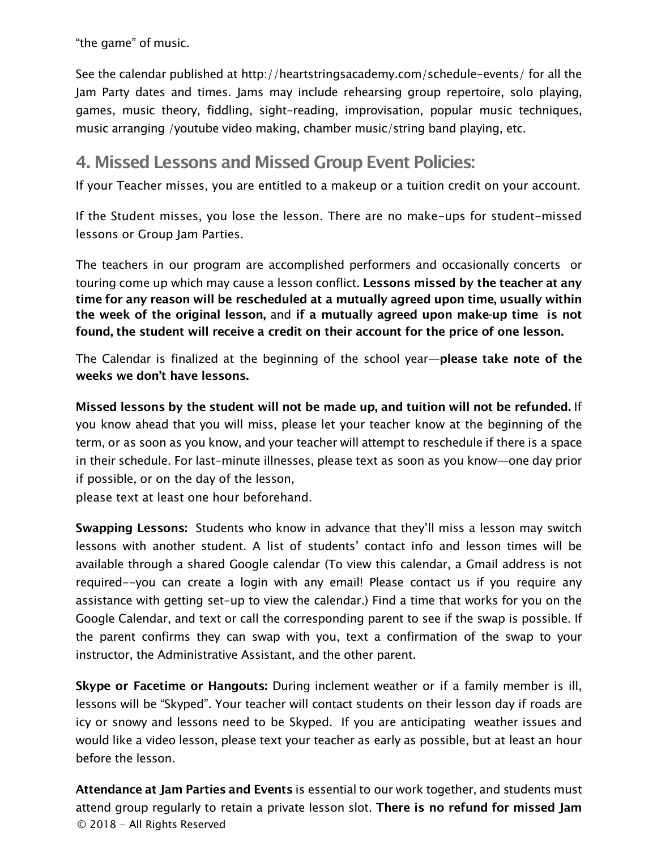"the game" of music.

See the calendar published at http://heartstringsacademy.com/schedule-events/ for all the Jam Party dates and times. Jams may include rehearsing group repertoire, solo playing, games, music theory, fiddling, sight-reading, improvisation, popular music techniques, music arranging /youtube video making, chamber music/string band playing, etc.

#### 4. Missed Lessons and Missed Group Event Policies:

If your Teacher misses, you are entitled to a makeup or a tuition credit on your account.

If the Student misses, you lose the lesson. There are no make-ups for student-missed lessons or Group Jam Parties.

The teachers in our program are accomplished performers and occasionally concerts or touring come up which may cause a lesson conflict. Lessons missed by the teacher at any time for any reason will be rescheduled at a mutually agreed upon time, usually within the week of the original lesson, and if a mutually agreed upon make-up time is not found, the student will receive a credit on their account for the price of one lesson.

The Calendar is finalized at the beginning of the school year-please take note of the weeks we don't have lessons.

Missed lessons by the student will not be made up, and tuition will not be refunded. If you know ahead that you will miss, please let your teacher know at the beginning of the term, or as soon as you know, and your teacher will attempt to reschedule if there is a space in their schedule. For last-minute illnesses, please text as soon as you know—one day prior if possible, or on the day of the lesson,

please text at least one hour beforehand.

Swapping Lessons: Students who know in advance that they'll miss a lesson may switch lessons with another student. A list of students' contact info and lesson times will be available through a shared Google calendar (To view this calendar, a Gmail address is not required--you can create a login with any email! Please contact us if you require any assistance with getting set-up to view the calendar.) Find a time that works for you on the Google Calendar, and text or call the corresponding parent to see if the swap is possible. If the parent confirms they can swap with you, text a confirmation of the swap to your instructor, the Administrative Assistant, and the other parent.

Skype or Facetime or Hangouts: During inclement weather or if a family member is ill, lessons will be "Skyped". Your teacher will contact students on their lesson day if roads are icy or snowy and lessons need to be Skyped. If you are anticipating weather issues and would like a video lesson, please text your teacher as early as possible, but at least an hour before the lesson.

© 2018 - All Rights Reserved Attendance at Jam Parties and Events is essential to our work together, and students must attend group regularly to retain a private lesson slot. There is no refund for missed Jam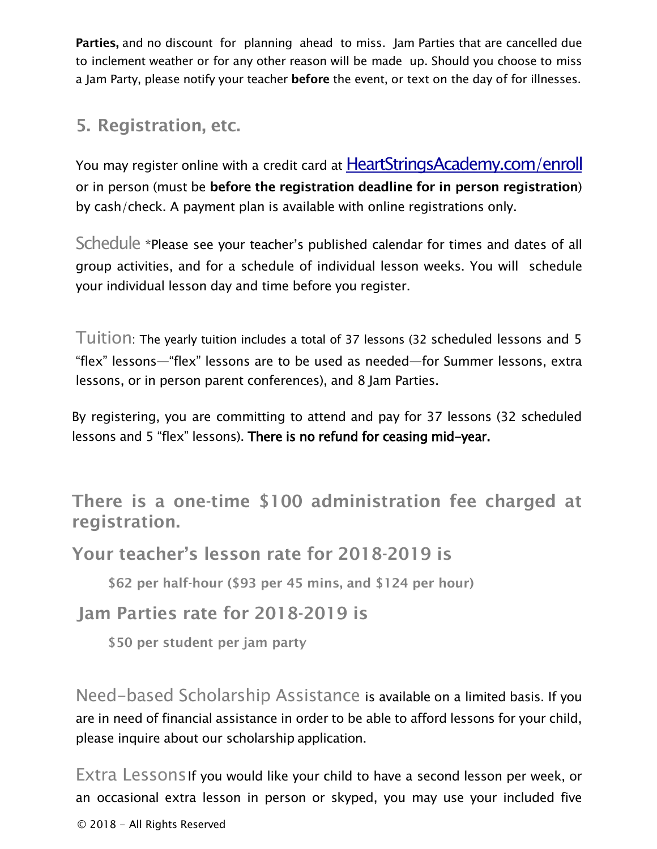Parties, and no discount for planning ahead to miss. Jam Parties that are cancelled due to inclement weather or for any other reason will be made up. Should you choose to miss a Jam Party, please notify your teacher **before** the event, or text on the day of for illnesses.

#### 5. Registration, etc.

You may register online with a credit card at **HeartStringsAcademy.com/enroll** or in person (must be before the registration deadline for in person registration) by cash/check. A payment plan is available with online registrations only.

Schedule \*Please see your teacher's published calendar for times and dates of all group activities, and for a schedule of individual lesson weeks. You will schedule your individual lesson day and time before you register.

Tuition: The yearly tuition includes a total of 37 lessons (32 scheduled lessons and 5 "flex" lessons—"flex" lessons are to be used as needed—for Summer lessons, extra lessons, or in person parent conferences), and 8 Jam Parties.

By registering, you are committing to attend and pay for 37 lessons (32 scheduled lessons and 5 "flex" lessons). There is no refund for ceasing mid-year.

There is a one-time \$100 administration fee charged at registration.

Your teacher's lesson rate for 2018-2019 is

\$62 per half-hour (\$93 per 45 mins, and \$124 per hour)

Jam Parties rate for 2018-2019 is

\$50 per student per jam party

Need-based Scholarship Assistance is available on a limited basis. If you are in need of financial assistance in order to be able to afford lessons for your child, please inquire about our scholarship application.

Extra Lessons If you would like your child to have a second lesson per week, or an occasional extra lesson in person or skyped, you may use your included five

© 2018 - All Rights Reserved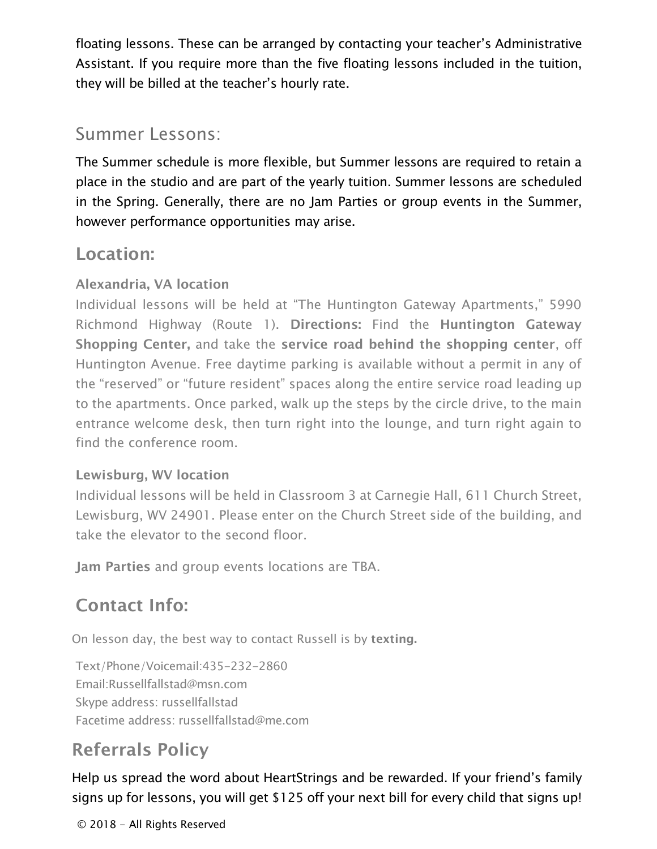floating lessons. These can be arranged by contacting your teacher's Administrative Assistant. If you require more than the five floating lessons included in the tuition, they will be billed at the teacher's hourly rate.

#### Summer Lessons:

The Summer schedule is more flexible, but Summer lessons are required to retain a place in the studio and are part of the yearly tuition. Summer lessons are scheduled in the Spring. Generally, there are no Jam Parties or group events in the Summer, however performance opportunities may arise.

#### Location:

#### Alexandria, VA location

Individual lessons will be held at "The Huntington Gateway Apartments," 5990 Richmond Highway (Route 1). Directions: Find the Huntington Gateway Shopping Center, and take the service road behind the shopping center, off Huntington Avenue. Free daytime parking is available without a permit in any of the "reserved" or "future resident" spaces along the entire service road leading up to the apartments. Once parked, walk up the steps by the circle drive, to the main entrance welcome desk, then turn right into the lounge, and turn right again to find the conference room.

#### Lewisburg, WV location

Individual lessons will be held in Classroom 3 at Carnegie Hall, 611 Church Street, Lewisburg, WV 24901. Please enter on the Church Street side of the building, and take the elevator to the second floor.

Jam Parties and group events locations are TBA.

## Contact Info:

On lesson day, the best way to contact Russell is by texting.

Text/Phone/Voicemail:435-232-2860 Email[:Russellfallstad@msn.com](mailto:Russellfallstad@msn.com) Skype address: russellfallstad Facetime address: [russellfallstad@me.com](mailto:russellfallstad@me.com)

# Referrals Policy

Help us spread the word about HeartStrings and be rewarded. If your friend's family signs up for lessons, you will get \$125 off your next bill for every child that signs up!